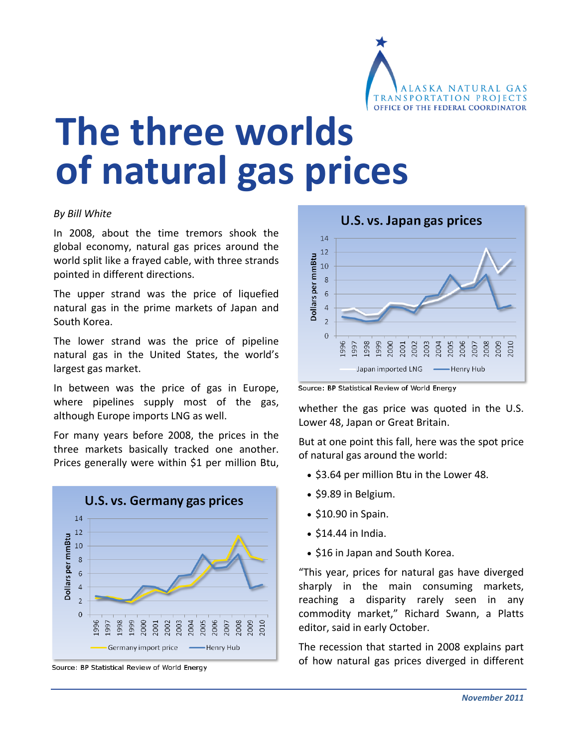

# **The three worlds of natural gas prices**

#### *By Bill White*

In 2008, about the time tremors shook the global economy, natural gas prices around the world split like a frayed cable, with three strands pointed in different directions.

The upper strand was the price of liquefied natural gas in the prime markets of Japan and South Korea.

The lower strand was the price of pipeline natural gas in the United States, the world's largest gas market.

In between was the price of gas in Europe, where pipelines supply most of the gas, although Europe imports LNG as well.

For many years before 2008, the prices in the three markets basically tracked one another. Prices generally were within \$1 per million Btu,



Source: BP Statistical Review of World Energy



Source: BP Statistical Review of World Energy

whether the gas price was quoted in the U.S. Lower 48, Japan or Great Britain.

But at one point this fall, here was the spot price of natural gas around the world:

- \$3.64 per million Btu in the Lower 48.
- \$9.89 in Belgium.
- $\bullet$  \$10.90 in Spain.
- $\bullet$  \$14.44 in India.
- \$16 in Japan and South Korea.

"This year, prices for natural gas have diverged sharply in the main consuming markets, reaching a disparity rarely seen in any commodity market," Richard Swann, a Platts editor, said in early October.

The recession that started in 2008 explains part of how natural gas prices diverged in different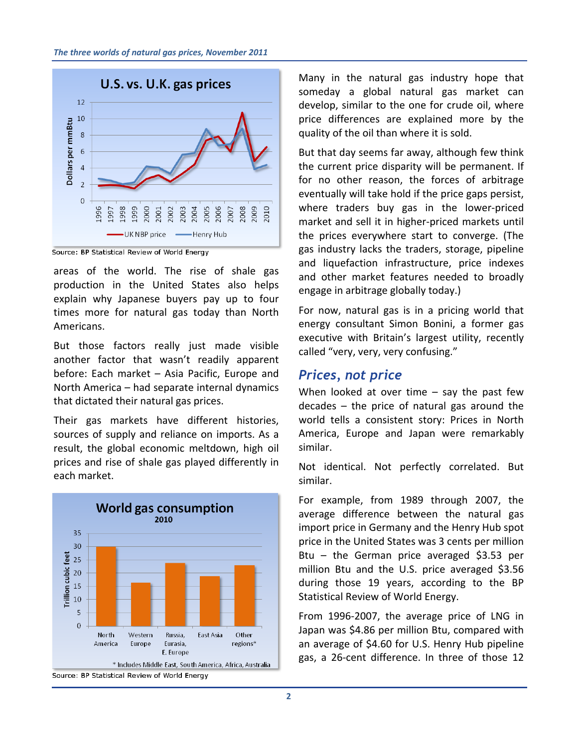

Source: BP Statistical Review of World Energy

areas of the world. The rise of shale gas production in the United States also helps explain why Japanese buyers pay up to four times more for natural gas today than North Americans.

But those factors really just made visible another factor that wasn't readily apparent before: Each market – Asia Pacific, Europe and North America – had separate internal dynamics that dictated their natural gas prices.

Their gas markets have different histories, sources of supply and reliance on imports. As a result, the global economic meltdown, high oil prices and rise of shale gas played differently in each market.



Many in the natural gas industry hope that someday a global natural gas market can develop, similar to the one for crude oil, where price differences are explained more by the quality of the oil than where it is sold.

But that day seems far away, although few think the current price disparity will be permanent. If for no other reason, the forces of arbitrage eventually will take hold if the price gaps persist, where traders buy gas in the lower-priced market and sell it in higher‐priced markets until the prices everywhere start to converge. (The gas industry lacks the traders, storage, pipeline and liquefaction infrastructure, price indexes and other market features needed to broadly engage in arbitrage globally today.)

For now, natural gas is in a pricing world that energy consultant Simon Bonini, a former gas executive with Britain's largest utility, recently called "very, very, very confusing."

#### *Prices, not price*

When looked at over time  $-$  say the past few decades – the price of natural gas around the world tells a consistent story: Prices in North America, Europe and Japan were remarkably similar.

Not identical. Not perfectly correlated. But similar.

For example, from 1989 through 2007, the average difference between the natural gas import price in Germany and the Henry Hub spot price in the United States was 3 cents per million Btu – the German price averaged \$3.53 per million Btu and the U.S. price averaged \$3.56 during those 19 years, according to the BP Statistical Review of World Energy.

From 1996-2007, the average price of LNG in Japan was \$4.86 per million Btu, compared with an average of \$4.60 for U.S. Henry Hub pipeline gas, a 26‐cent difference. In three of those 12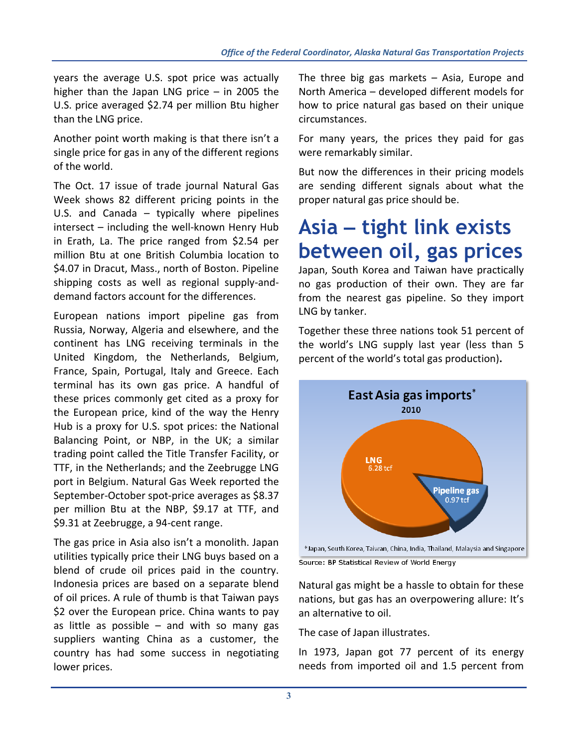years the average U.S. spot price was actually higher than the Japan LNG price – in 2005 the U.S. price averaged \$2.74 per million Btu higher than the LNG price.

Another point worth making is that there isn't a single price for gas in any of the different regions of the world.

The Oct. 17 issue of trade journal Natural Gas Week shows 82 different pricing points in the U.S. and Canada – typically where pipelines intersect – including the well‐known Henry Hub in Erath, La. The price ranged from \$2.54 per million Btu at one British Columbia location to \$4.07 in Dracut, Mass., north of Boston. Pipeline shipping costs as well as regional supply‐and‐ demand factors account for the differences.

European nations import pipeline gas from Russia, Norway, Algeria and elsewhere, and the continent has LNG receiving terminals in the United Kingdom, the Netherlands, Belgium, France, Spain, Portugal, Italy and Greece. Each terminal has its own gas price. A handful of these prices commonly get cited as a proxy for the European price, kind of the way the Henry Hub is a proxy for U.S. spot prices: the National Balancing Point, or NBP, in the UK; a similar trading point called the Title Transfer Facility, or TTF, in the Netherlands; and the Zeebrugge LNG port in Belgium. Natural Gas Week reported the September‐October spot‐price averages as \$8.37 per million Btu at the NBP, \$9.17 at TTF, and \$9.31 at Zeebrugge, a 94‐cent range.

The gas price in Asia also isn't a monolith. Japan utilities typically price their LNG buys based on a blend of crude oil prices paid in the country. Indonesia prices are based on a separate blend of oil prices. A rule of thumb is that Taiwan pays \$2 over the European price. China wants to pay as little as possible  $-$  and with so many gas suppliers wanting China as a customer, the country has had some success in negotiating lower prices.

The three big gas markets – Asia, Europe and North America – developed different models for how to price natural gas based on their unique circumstances.

For many years, the prices they paid for gas were remarkably similar.

But now the differences in their pricing models are sending different signals about what the proper natural gas price should be.

# **Asia – tight link exists between oil, gas prices**

Japan, South Korea and Taiwan have practically no gas production of their own. They are far from the nearest gas pipeline. So they import LNG by tanker.

Together these three nations took 51 percent of the world's LNG supply last year (less than 5 percent of the world's total gas production)**.**



Source: BP Statistical Review of World Energy

Natural gas might be a hassle to obtain for these nations, but gas has an overpowering allure: It's an alternative to oil.

The case of Japan illustrates.

In 1973, Japan got 77 percent of its energy needs from imported oil and 1.5 percent from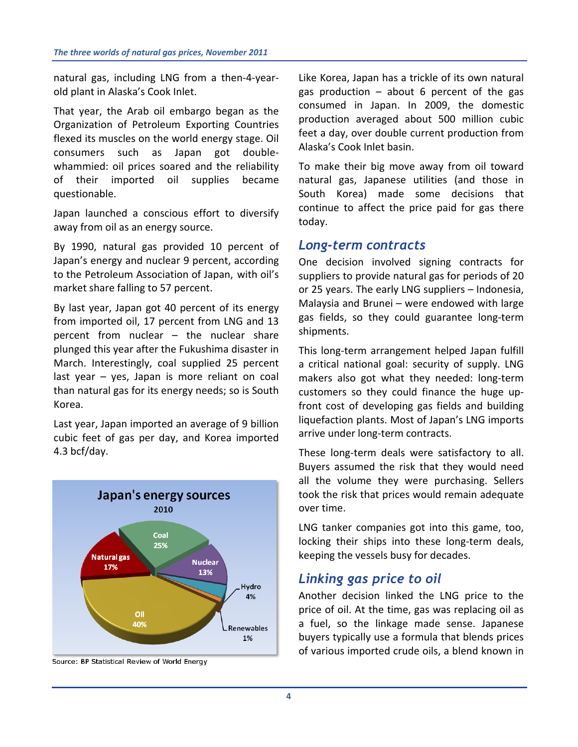natural gas, including LNG from a then‐4‐year‐ old plant in Alaska's Cook Inlet.

That year, the Arab oil embargo began as the Organization of Petroleum Exporting Countries flexed its muscles on the world energy stage. Oil consumers such as Japan got double‐ whammied: oil prices soared and the reliability of their imported oil supplies became questionable.

Japan launched a conscious effort to diversify away from oil as an energy source.

By 1990, natural gas provided 10 percent of Japan's energy and nuclear 9 percent, according to the Petroleum Association of Japan, with oil's market share falling to 57 percent.

By last year, Japan got 40 percent of its energy from imported oil, 17 percent from LNG and 13 percent from nuclear – the nuclear share plunged this year after the Fukushima disaster in March. Interestingly, coal supplied 25 percent last year – yes, Japan is more reliant on coal than natural gas for its energy needs; so is South Korea.

Last year, Japan imported an average of 9 billion cubic feet of gas per day, and Korea imported 4.3 bcf/day.



Source: BP Statistical Review of World Energy

Like Korea, Japan has a trickle of its own natural gas production  $-$  about 6 percent of the gas consumed in Japan. In 2009, the domestic production averaged about 500 million cubic feet a day, over double current production from Alaska's Cook Inlet basin.

To make their big move away from oil toward natural gas, Japanese utilities (and those in South Korea) made some decisions that continue to affect the price paid for gas there today.

#### *Long-term contracts*

One decision involved signing contracts for suppliers to provide natural gas for periods of 20 or 25 years. The early LNG suppliers – Indonesia, Malaysia and Brunei – were endowed with large gas fields, so they could guarantee long‐term shipments.

This long‐term arrangement helped Japan fulfill a critical national goal: security of supply. LNG makers also got what they needed: long‐term customers so they could finance the huge up‐ front cost of developing gas fields and building liquefaction plants. Most of Japan's LNG imports arrive under long‐term contracts.

These long‐term deals were satisfactory to all. Buyers assumed the risk that they would need all the volume they were purchasing. Sellers took the risk that prices would remain adequate over time.

LNG tanker companies got into this game, too, locking their ships into these long‐term deals, keeping the vessels busy for decades.

### *Linking gas price to oil*

Another decision linked the LNG price to the price of oil. At the time, gas was replacing oil as a fuel, so the linkage made sense. Japanese buyers typically use a formula that blends prices of various imported crude oils, a blend known in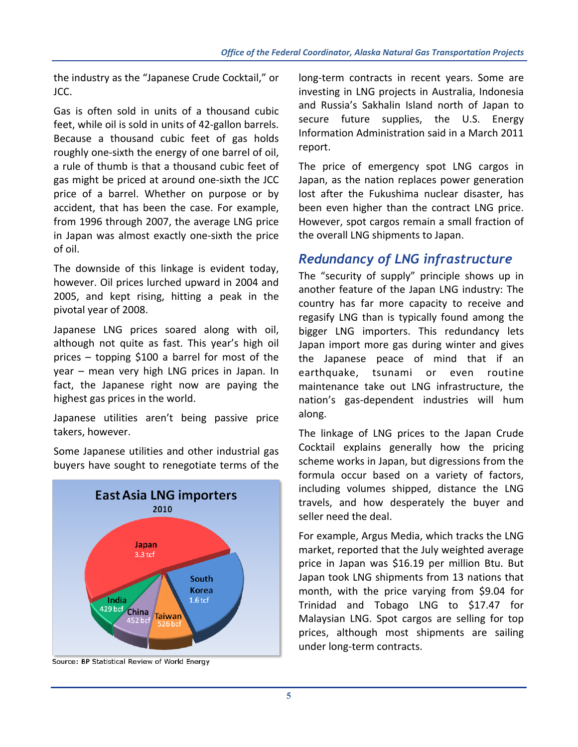the industry as the "Japanese Crude Cocktail," or JCC.

Gas is often sold in units of a thousand cubic feet, while oil is sold in units of 42‐gallon barrels. Because a thousand cubic feet of gas holds roughly one‐sixth the energy of one barrel of oil, a rule of thumb is that a thousand cubic feet of gas might be priced at around one‐sixth the JCC price of a barrel. Whether on purpose or by accident, that has been the case. For example, from 1996 through 2007, the average LNG price in Japan was almost exactly one‐sixth the price of oil.

The downside of this linkage is evident today, however. Oil prices lurched upward in 2004 and 2005, and kept rising, hitting a peak in the pivotal year of 2008.

Japanese LNG prices soared along with oil, although not quite as fast. This year's high oil prices – topping \$100 a barrel for most of the year – mean very high LNG prices in Japan. In fact, the Japanese right now are paying the highest gas prices in the world.

Japanese utilities aren't being passive price takers, however.

Some Japanese utilities and other industrial gas buyers have sought to renegotiate terms of the



Source: BP Statistical Review of World Energy

long-term contracts in recent years. Some are investing in LNG projects in Australia, Indonesia and Russia's Sakhalin Island north of Japan to secure future supplies, the U.S. Energy Information Administration said in a March 2011 report.

The price of emergency spot LNG cargos in Japan, as the nation replaces power generation lost after the Fukushima nuclear disaster, has been even higher than the contract LNG price. However, spot cargos remain a small fraction of the overall LNG shipments to Japan.

### *Redundancy of LNG infrastructure*

The "security of supply" principle shows up in another feature of the Japan LNG industry: The country has far more capacity to receive and regasify LNG than is typically found among the bigger LNG importers. This redundancy lets Japan import more gas during winter and gives the Japanese peace of mind that if an earthquake, tsunami or even routine maintenance take out LNG infrastructure, the nation's gas‐dependent industries will hum along.

The linkage of LNG prices to the Japan Crude Cocktail explains generally how the pricing scheme works in Japan, but digressions from the formula occur based on a variety of factors, including volumes shipped, distance the LNG travels, and how desperately the buyer and seller need the deal.

For example, Argus Media, which tracks the LNG market, reported that the July weighted average price in Japan was \$16.19 per million Btu. But Japan took LNG shipments from 13 nations that month, with the price varying from \$9.04 for Trinidad and Tobago LNG to \$17.47 for Malaysian LNG. Spot cargos are selling for top prices, although most shipments are sailing under long‐term contracts.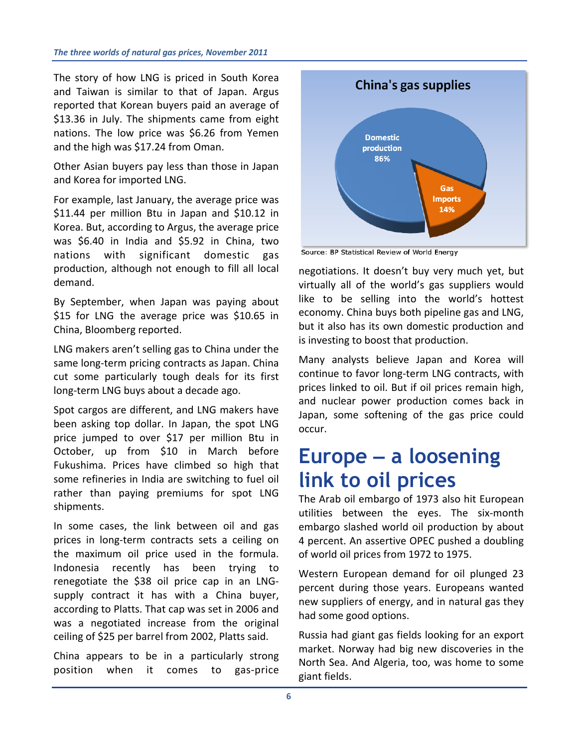The story of how LNG is priced in South Korea and Taiwan is similar to that of Japan. Argus reported that Korean buyers paid an average of \$13.36 in July. The shipments came from eight nations. The low price was \$6.26 from Yemen and the high was \$17.24 from Oman.

Other Asian buyers pay less than those in Japan and Korea for imported LNG.

For example, last January, the average price was \$11.44 per million Btu in Japan and \$10.12 in Korea. But, according to Argus, the average price was \$6.40 in India and \$5.92 in China, two nations with significant domestic gas production, although not enough to fill all local demand.

By September, when Japan was paying about \$15 for LNG the average price was \$10.65 in China, Bloomberg reported.

LNG makers aren't selling gas to China under the same long-term pricing contracts as Japan. China cut some particularly tough deals for its first long‐term LNG buys about a decade ago.

Spot cargos are different, and LNG makers have been asking top dollar. In Japan, the spot LNG price jumped to over \$17 per million Btu in October, up from \$10 in March before Fukushima. Prices have climbed so high that some refineries in India are switching to fuel oil rather than paying premiums for spot LNG shipments.

In some cases, the link between oil and gas prices in long‐term contracts sets a ceiling on the maximum oil price used in the formula. Indonesia recently has been trying to renegotiate the \$38 oil price cap in an LNG‐ supply contract it has with a China buyer, according to Platts. That cap was set in 2006 and was a negotiated increase from the original ceiling of \$25 per barrel from 2002, Platts said.

China appears to be in a particularly strong position when it comes to gas‐price



Source: BP Statistical Review of World Energy

negotiations. It doesn't buy very much yet, but virtually all of the world's gas suppliers would like to be selling into the world's hottest economy. China buys both pipeline gas and LNG, but it also has its own domestic production and is investing to boost that production.

Many analysts believe Japan and Korea will continue to favor long‐term LNG contracts, with prices linked to oil. But if oil prices remain high, and nuclear power production comes back in Japan, some softening of the gas price could occur.

## **Europe – a loosening link to oil prices**

The Arab oil embargo of 1973 also hit European utilities between the eyes. The six‐month embargo slashed world oil production by about 4 percent. An assertive OPEC pushed a doubling of world oil prices from 1972 to 1975.

Western European demand for oil plunged 23 percent during those years. Europeans wanted new suppliers of energy, and in natural gas they had some good options.

Russia had giant gas fields looking for an export market. Norway had big new discoveries in the North Sea. And Algeria, too, was home to some giant fields.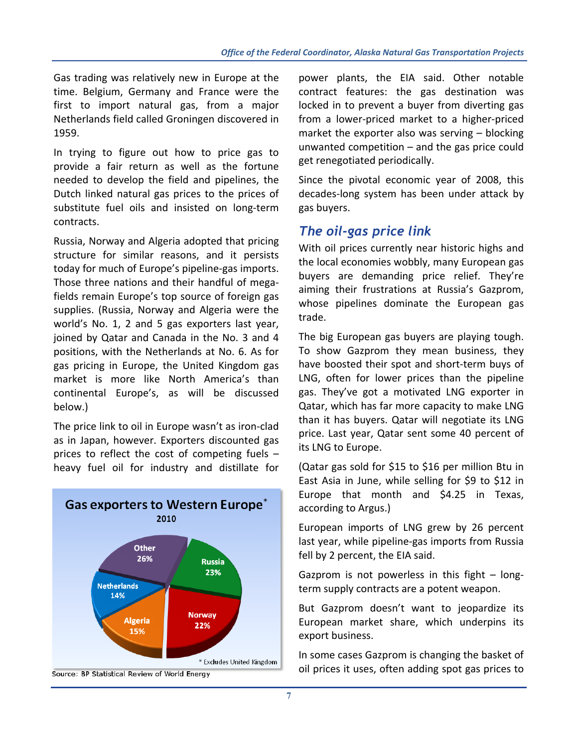Gas trading was relatively new in Europe at the time. Belgium, Germany and France were the first to import natural gas, from a major Netherlands field called Groningen discovered in 1959.

In trying to figure out how to price gas to provide a fair return as well as the fortune needed to develop the field and pipelines, the Dutch linked natural gas prices to the prices of substitute fuel oils and insisted on long-term contracts.

Russia, Norway and Algeria adopted that pricing structure for similar reasons, and it persists today for much of Europe's pipeline‐gas imports. Those three nations and their handful of mega‐ fields remain Europe's top source of foreign gas supplies. (Russia, Norway and Algeria were the world's No. 1, 2 and 5 gas exporters last year, joined by Qatar and Canada in the No. 3 and 4 positions, with the Netherlands at No. 6. As for gas pricing in Europe, the United Kingdom gas market is more like North America's than continental Europe's, as will be discussed below.)

The price link to oil in Europe wasn't as iron‐clad as in Japan, however. Exporters discounted gas prices to reflect the cost of competing fuels – heavy fuel oil for industry and distillate for



power plants, the EIA said. Other notable contract features: the gas destination was locked in to prevent a buyer from diverting gas from a lower‐priced market to a higher‐priced market the exporter also was serving – blocking unwanted competition – and the gas price could get renegotiated periodically.

Since the pivotal economic year of 2008, this decades‐long system has been under attack by gas buyers.

## *The oil-gas price link*

With oil prices currently near historic highs and the local economies wobbly, many European gas buyers are demanding price relief. They're aiming their frustrations at Russia's Gazprom, whose pipelines dominate the European gas trade.

The big European gas buyers are playing tough. To show Gazprom they mean business, they have boosted their spot and short‐term buys of LNG, often for lower prices than the pipeline gas. They've got a motivated LNG exporter in Qatar, which has far more capacity to make LNG than it has buyers. Qatar will negotiate its LNG price. Last year, Qatar sent some 40 percent of its LNG to Europe.

(Qatar gas sold for \$15 to \$16 per million Btu in East Asia in June, while selling for \$9 to \$12 in Europe that month and \$4.25 in Texas, according to Argus.)

European imports of LNG grew by 26 percent last year, while pipeline‐gas imports from Russia fell by 2 percent, the EIA said.

Gazprom is not powerless in this fight – long‐ term supply contracts are a potent weapon.

But Gazprom doesn't want to jeopardize its European market share, which underpins its export business.

In some cases Gazprom is changing the basket of oil prices it uses, often adding spot gas prices to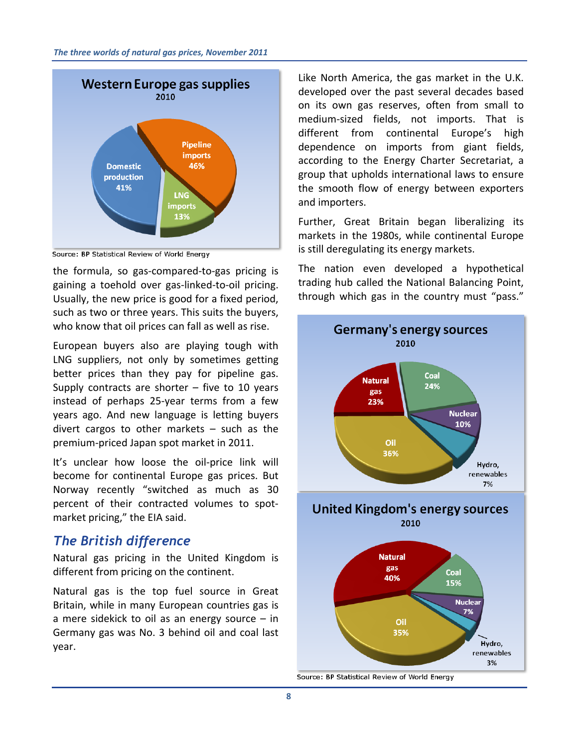

Source: BP Statistical Review of World Energy

the formula, so gas‐compared‐to‐gas pricing is gaining a toehold over gas‐linked‐to‐oil pricing. Usually, the new price is good for a fixed period, such as two or three years. This suits the buyers, who know that oil prices can fall as well as rise.

European buyers also are playing tough with LNG suppliers, not only by sometimes getting better prices than they pay for pipeline gas. Supply contracts are shorter  $-$  five to 10 years instead of perhaps 25‐year terms from a few years ago. And new language is letting buyers divert cargos to other markets – such as the premium‐priced Japan spot market in 2011.

It's unclear how loose the oil-price link will become for continental Europe gas prices. But Norway recently "switched as much as 30 percent of their contracted volumes to spot‐ market pricing," the EIA said.

### *The British difference*

Natural gas pricing in the United Kingdom is different from pricing on the continent.

Natural gas is the top fuel source in Great Britain, while in many European countries gas is a mere sidekick to oil as an energy source  $-$  in Germany gas was No. 3 behind oil and coal last year.

Like North America, the gas market in the U.K. developed over the past several decades based on its own gas reserves, often from small to medium‐sized fields, not imports. That is different from continental Europe's high dependence on imports from giant fields, according to the Energy Charter Secretariat, a group that upholds international laws to ensure the smooth flow of energy between exporters and importers.

Further, Great Britain began liberalizing its markets in the 1980s, while continental Europe is still deregulating its energy markets.

The nation even developed a hypothetical trading hub called the National Balancing Point, through which gas in the country must "pass."



Source: BP Statistical Review of World Energy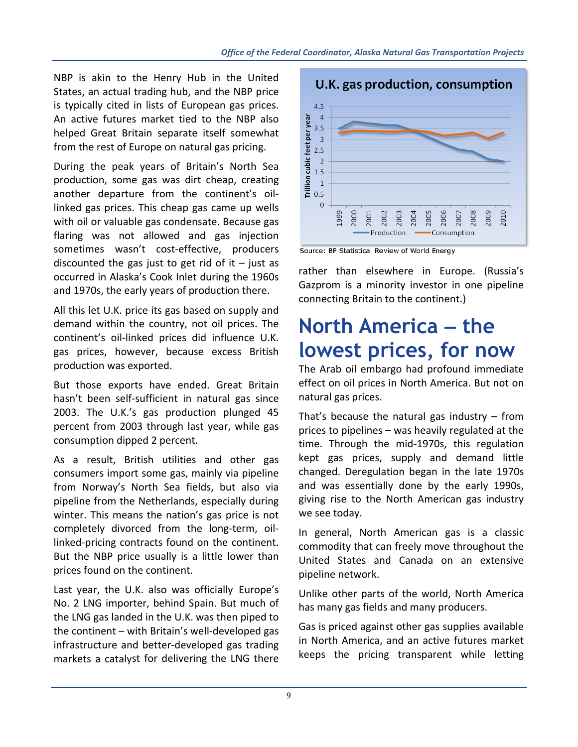NBP is akin to the Henry Hub in the United States, an actual trading hub, and the NBP price is typically cited in lists of European gas prices. An active futures market tied to the NBP also helped Great Britain separate itself somewhat from the rest of Europe on natural gas pricing.

During the peak years of Britain's North Sea production, some gas was dirt cheap, creating another departure from the continent's oil‐ linked gas prices. This cheap gas came up wells with oil or valuable gas condensate. Because gas flaring was not allowed and gas injection sometimes wasn't cost-effective, producers discounted the gas just to get rid of it  $-$  just as occurred in Alaska's Cook Inlet during the 1960s and 1970s, the early years of production there.

All this let U.K. price its gas based on supply and demand within the country, not oil prices. The continent's oil‐linked prices did influence U.K. gas prices, however, because excess British production was exported.

But those exports have ended. Great Britain hasn't been self-sufficient in natural gas since 2003. The U.K.'s gas production plunged 45 percent from 2003 through last year, while gas consumption dipped 2 percent.

As a result, British utilities and other gas consumers import some gas, mainly via pipeline from Norway's North Sea fields, but also via pipeline from the Netherlands, especially during winter. This means the nation's gas price is not completely divorced from the long‐term, oil‐ linked‐pricing contracts found on the continent. But the NBP price usually is a little lower than prices found on the continent.

Last year, the U.K. also was officially Europe's No. 2 LNG importer, behind Spain. But much of the LNG gas landed in the U.K. was then piped to the continent – with Britain's well‐developed gas infrastructure and better‐developed gas trading markets a catalyst for delivering the LNG there



Source: BP Statistical Review of World Energy

rather than elsewhere in Europe. (Russia's Gazprom is a minority investor in one pipeline connecting Britain to the continent.)

# **North America – the lowest prices, for now**

The Arab oil embargo had profound immediate effect on oil prices in North America. But not on natural gas prices.

That's because the natural gas industry  $-$  from prices to pipelines – was heavily regulated at the time. Through the mid‐1970s, this regulation kept gas prices, supply and demand little changed. Deregulation began in the late 1970s and was essentially done by the early 1990s, giving rise to the North American gas industry we see today.

In general, North American gas is a classic commodity that can freely move throughout the United States and Canada on an extensive pipeline network.

Unlike other parts of the world, North America has many gas fields and many producers.

Gas is priced against other gas supplies available in North America, and an active futures market keeps the pricing transparent while letting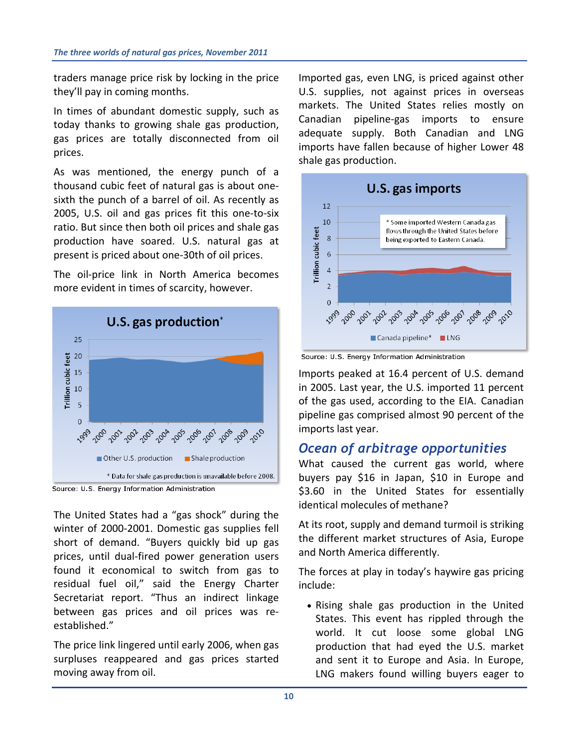traders manage price risk by locking in the price they'll pay in coming months.

In times of abundant domestic supply, such as today thanks to growing shale gas production, gas prices are totally disconnected from oil prices.

As was mentioned, the energy punch of a thousand cubic feet of natural gas is about one‐ sixth the punch of a barrel of oil. As recently as 2005, U.S. oil and gas prices fit this one‐to‐six ratio. But since then both oil prices and shale gas production have soared. U.S. natural gas at present is priced about one‐30th of oil prices.

The oil‐price link in North America becomes more evident in times of scarcity, however.



Source: U.S. Energy Information Administration

The United States had a "gas shock" during the winter of 2000‐2001. Domestic gas supplies fell short of demand. "Buyers quickly bid up gas prices, until dual‐fired power generation users found it economical to switch from gas to residual fuel oil," said the Energy Charter Secretariat report. "Thus an indirect linkage between gas prices and oil prices was re‐ established."

The price link lingered until early 2006, when gas surpluses reappeared and gas prices started moving away from oil.

Imported gas, even LNG, is priced against other U.S. supplies, not against prices in overseas markets. The United States relies mostly on Canadian pipeline‐gas imports to ensure adequate supply. Both Canadian and LNG imports have fallen because of higher Lower 48 shale gas production.



Source: U.S. Energy Information Administration

Imports peaked at 16.4 percent of U.S. demand in 2005. Last year, the U.S. imported 11 percent of the gas used, according to the EIA. Canadian pipeline gas comprised almost 90 percent of the imports last year.

## *Ocean of arbitrage opportunities*

What caused the current gas world, where buyers pay \$16 in Japan, \$10 in Europe and \$3.60 in the United States for essentially identical molecules of methane?

At its root, supply and demand turmoil is striking the different market structures of Asia, Europe and North America differently.

The forces at play in today's haywire gas pricing include:

 Rising shale gas production in the United States. This event has rippled through the world. It cut loose some global LNG production that had eyed the U.S. market and sent it to Europe and Asia. In Europe, LNG makers found willing buyers eager to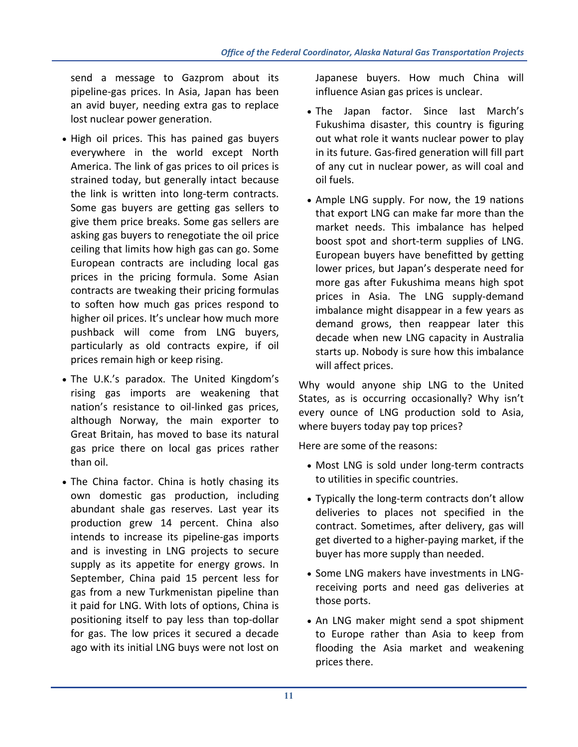send a message to Gazprom about its pipeline‐gas prices. In Asia, Japan has been an avid buyer, needing extra gas to replace lost nuclear power generation.

- High oil prices. This has pained gas buyers everywhere in the world except North America. The link of gas prices to oil prices is strained today, but generally intact because the link is written into long‐term contracts. Some gas buyers are getting gas sellers to give them price breaks. Some gas sellers are asking gas buyers to renegotiate the oil price ceiling that limits how high gas can go. Some European contracts are including local gas prices in the pricing formula. Some Asian contracts are tweaking their pricing formulas to soften how much gas prices respond to higher oil prices. It's unclear how much more pushback will come from LNG buyers, particularly as old contracts expire, if oil prices remain high or keep rising.
- The U.K.'s paradox. The United Kingdom's rising gas imports are weakening that nation's resistance to oil‐linked gas prices, although Norway, the main exporter to Great Britain, has moved to base its natural gas price there on local gas prices rather than oil.
- The China factor. China is hotly chasing its own domestic gas production, including abundant shale gas reserves. Last year its production grew 14 percent. China also intends to increase its pipeline‐gas imports and is investing in LNG projects to secure supply as its appetite for energy grows. In September, China paid 15 percent less for gas from a new Turkmenistan pipeline than it paid for LNG. With lots of options, China is positioning itself to pay less than top‐dollar for gas. The low prices it secured a decade ago with its initial LNG buys were not lost on

Japanese buyers. How much China will influence Asian gas prices is unclear.

- The Japan factor. Since last March's Fukushima disaster, this country is figuring out what role it wants nuclear power to play in its future. Gas‐fired generation will fill part of any cut in nuclear power, as will coal and oil fuels.
- Ample LNG supply. For now, the 19 nations that export LNG can make far more than the market needs. This imbalance has helped boost spot and short‐term supplies of LNG. European buyers have benefitted by getting lower prices, but Japan's desperate need for more gas after Fukushima means high spot prices in Asia. The LNG supply‐demand imbalance might disappear in a few years as demand grows, then reappear later this decade when new LNG capacity in Australia starts up. Nobody is sure how this imbalance will affect prices.

Why would anyone ship LNG to the United States, as is occurring occasionally? Why isn't every ounce of LNG production sold to Asia, where buyers today pay top prices?

Here are some of the reasons:

- Most LNG is sold under long-term contracts to utilities in specific countries.
- Typically the long-term contracts don't allow deliveries to places not specified in the contract. Sometimes, after delivery, gas will get diverted to a higher‐paying market, if the buyer has more supply than needed.
- Some LNG makers have investments in LNGreceiving ports and need gas deliveries at those ports.
- An LNG maker might send a spot shipment to Europe rather than Asia to keep from flooding the Asia market and weakening prices there.